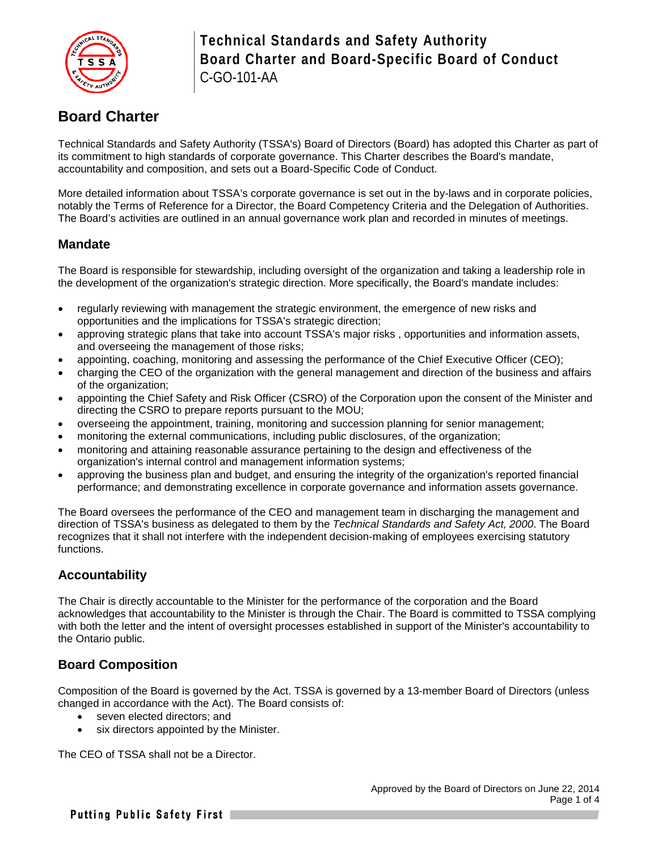

## **Board Charter**

Technical Standards and Safety Authority (TSSA's) Board of Directors (Board) has adopted this Charter as part of its commitment to high standards of corporate governance. This Charter describes the Board's mandate, accountability and composition, and sets out a Board-Specific Code of Conduct.

More detailed information about TSSA's corporate governance is set out in the by-laws and in corporate policies, notably the Terms of Reference for a Director, the Board Competency Criteria and the Delegation of Authorities. The Board's activities are outlined in an annual governance work plan and recorded in minutes of meetings.

### **Mandate**

The Board is responsible for stewardship, including oversight of the organization and taking a leadership role in the development of the organization's strategic direction. More specifically, the Board's mandate includes:

- regularly reviewing with management the strategic environment, the emergence of new risks and opportunities and the implications for TSSA's strategic direction;
- approving strategic plans that take into account TSSA's major risks , opportunities and information assets, and overseeing the management of those risks;
- appointing, coaching, monitoring and assessing the performance of the Chief Executive Officer (CEO);
- charging the CEO of the organization with the general management and direction of the business and affairs of the organization;
- appointing the Chief Safety and Risk Officer (CSRO) of the Corporation upon the consent of the Minister and directing the CSRO to prepare reports pursuant to the MOU;
- overseeing the appointment, training, monitoring and succession planning for senior management;
- monitoring the external communications, including public disclosures, of the organization;
- monitoring and attaining reasonable assurance pertaining to the design and effectiveness of the organization's internal control and management information systems;
- approving the business plan and budget, and ensuring the integrity of the organization's reported financial performance; and demonstrating excellence in corporate governance and information assets governance.

The Board oversees the performance of the CEO and management team in discharging the management and direction of TSSA's business as delegated to them by the *Technical Standards and Safety Act, 2000*. The Board recognizes that it shall not interfere with the independent decision-making of employees exercising statutory functions.

### **Accountability**

The Chair is directly accountable to the Minister for the performance of the corporation and the Board acknowledges that accountability to the Minister is through the Chair. The Board is committed to TSSA complying with both the letter and the intent of oversight processes established in support of the Minister's accountability to the Ontario public.

### **Board Composition**

Composition of the Board is governed by the Act. TSSA is governed by a 13-member Board of Directors (unless changed in accordance with the Act). The Board consists of:

- seven elected directors; and
- six directors appointed by the Minister.

The CEO of TSSA shall not be a Director.

Putting Public Safety First |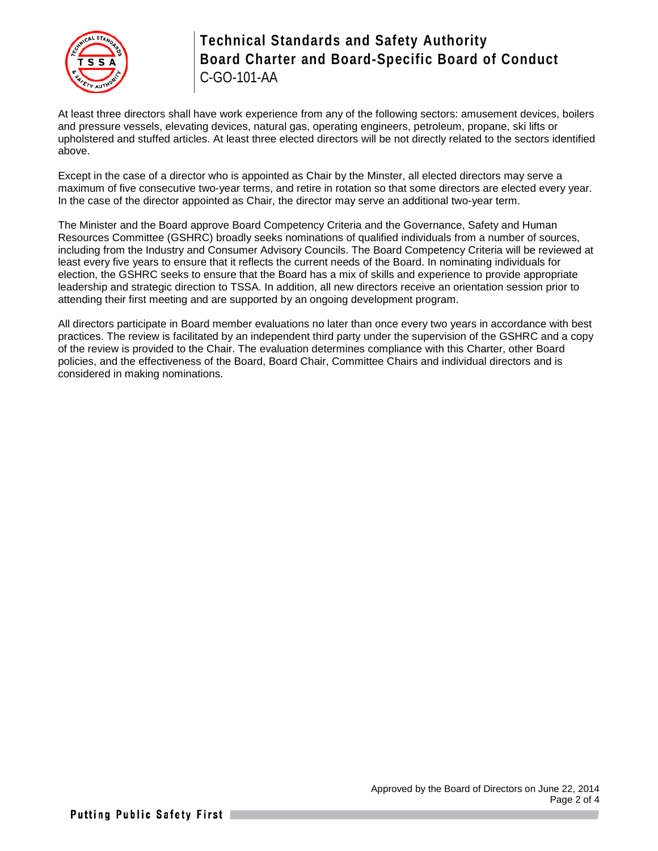

At least three directors shall have work experience from any of the following sectors: amusement devices, boilers and pressure vessels, elevating devices, natural gas, operating engineers, petroleum, propane, ski lifts or upholstered and stuffed articles. At least three elected directors will be not directly related to the sectors identified above.

Except in the case of a director who is appointed as Chair by the Minster, all elected directors may serve a maximum of five consecutive two-year terms, and retire in rotation so that some directors are elected every year. In the case of the director appointed as Chair, the director may serve an additional two-year term.

The Minister and the Board approve Board Competency Criteria and the Governance, Safety and Human Resources Committee (GSHRC) broadly seeks nominations of qualified individuals from a number of sources, including from the Industry and Consumer Advisory Councils. The Board Competency Criteria will be reviewed at least every five years to ensure that it reflects the current needs of the Board. In nominating individuals for election, the GSHRC seeks to ensure that the Board has a mix of skills and experience to provide appropriate leadership and strategic direction to TSSA. In addition, all new directors receive an orientation session prior to attending their first meeting and are supported by an ongoing development program.

All directors participate in Board member evaluations no later than once every two years in accordance with best practices. The review is facilitated by an independent third party under the supervision of the GSHRC and a copy of the review is provided to the Chair. The evaluation determines compliance with this Charter, other Board policies, and the effectiveness of the Board, Board Chair, Committee Chairs and individual directors and is considered in making nominations.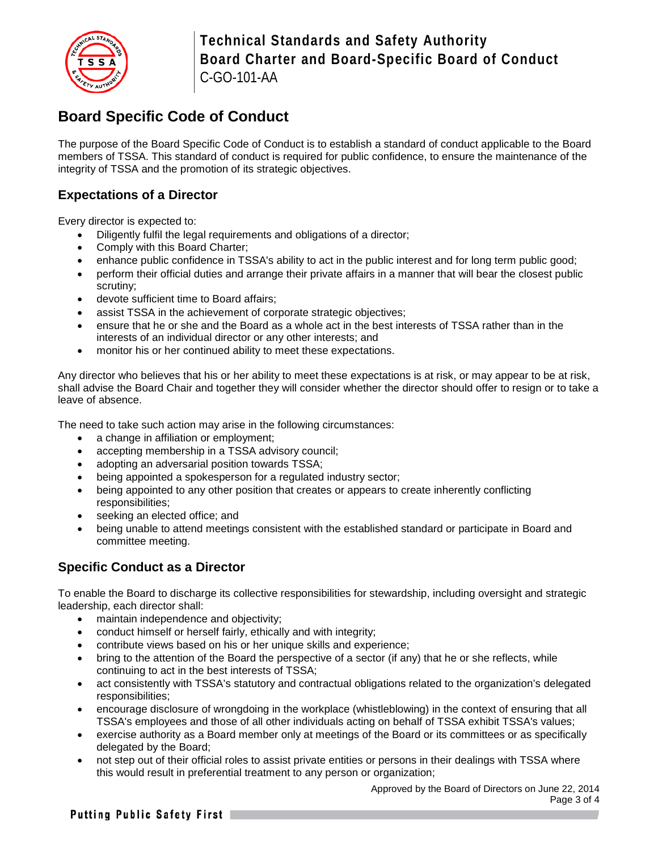

# **Board Specific Code of Conduct**

The purpose of the Board Specific Code of Conduct is to establish a standard of conduct applicable to the Board members of TSSA. This standard of conduct is required for public confidence, to ensure the maintenance of the integrity of TSSA and the promotion of its strategic objectives.

## **Expectations of a Director**

Every director is expected to:

- Diligently fulfil the legal requirements and obligations of a director;
- Comply with this Board Charter;
- enhance public confidence in TSSA's ability to act in the public interest and for long term public good;
- perform their official duties and arrange their private affairs in a manner that will bear the closest public scrutiny;
- devote sufficient time to Board affairs;
- assist TSSA in the achievement of corporate strategic objectives;
- ensure that he or she and the Board as a whole act in the best interests of TSSA rather than in the interests of an individual director or any other interests; and
- monitor his or her continued ability to meet these expectations.

Any director who believes that his or her ability to meet these expectations is at risk, or may appear to be at risk, shall advise the Board Chair and together they will consider whether the director should offer to resign or to take a leave of absence.

The need to take such action may arise in the following circumstances:

- a change in affiliation or employment;
- accepting membership in a TSSA advisory council;
- adopting an adversarial position towards TSSA;
- being appointed a spokesperson for a regulated industry sector;
- being appointed to any other position that creates or appears to create inherently conflicting responsibilities;
- seeking an elected office; and
- being unable to attend meetings consistent with the established standard or participate in Board and committee meeting.

## **Specific Conduct as a Director**

To enable the Board to discharge its collective responsibilities for stewardship, including oversight and strategic leadership, each director shall:

- maintain independence and objectivity;
- conduct himself or herself fairly, ethically and with integrity;
- contribute views based on his or her unique skills and experience;
- bring to the attention of the Board the perspective of a sector (if any) that he or she reflects, while continuing to act in the best interests of TSSA;
- act consistently with TSSA's statutory and contractual obligations related to the organization's delegated responsibilities;
- encourage disclosure of wrongdoing in the workplace (whistleblowing) in the context of ensuring that all TSSA's employees and those of all other individuals acting on behalf of TSSA exhibit TSSA's values;
- exercise authority as a Board member only at meetings of the Board or its committees or as specifically delegated by the Board;
- not step out of their official roles to assist private entities or persons in their dealings with TSSA where this would result in preferential treatment to any person or organization;